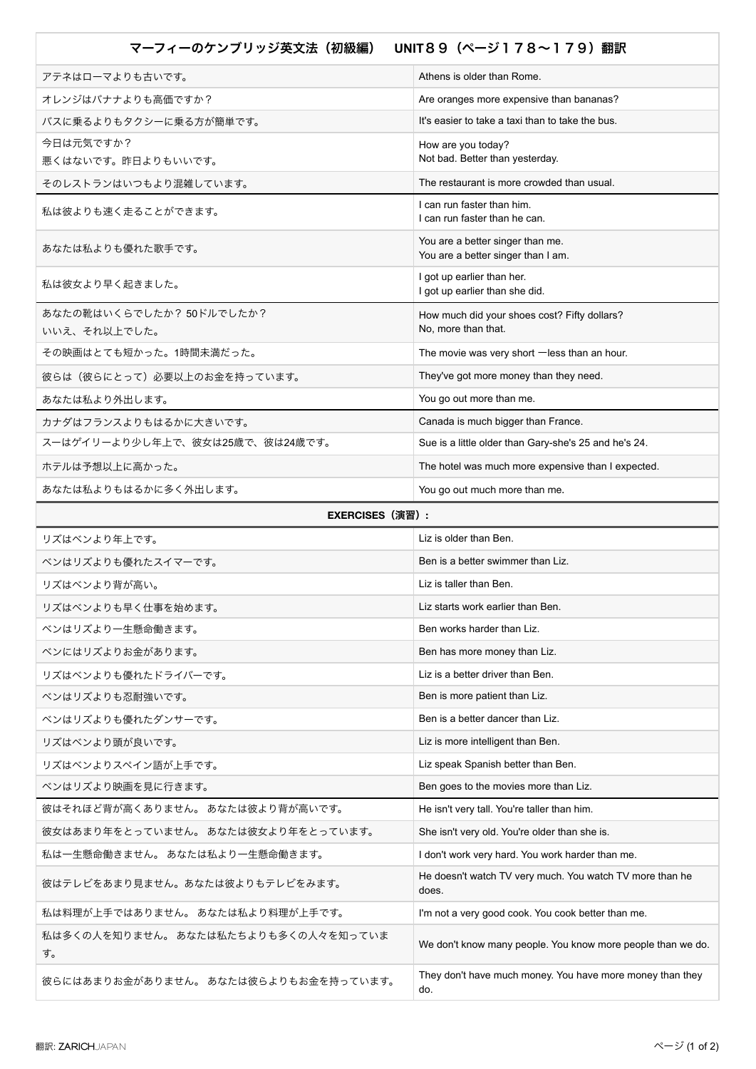| マーフィーのケンブリッジ英文法(初級編)<br>UNIT89 (ページ178~179) 翻訳 |                                                                        |
|------------------------------------------------|------------------------------------------------------------------------|
| アテネはローマよりも古いです。                                | Athens is older than Rome.                                             |
| オレンジはバナナよりも高価ですか?                              | Are oranges more expensive than bananas?                               |
| バスに乗るよりもタクシーに乗る方が簡単です。                         | It's easier to take a taxi than to take the bus.                       |
| 今日は元気ですか?                                      | How are you today?                                                     |
| 悪くはないです。昨日よりもいいです。                             | Not bad. Better than yesterday.                                        |
| そのレストランはいつもより混雑しています。                          | The restaurant is more crowded than usual.                             |
| 私は彼よりも速く走ることができます。                             | I can run faster than him.<br>I can run faster than he can.            |
| あなたは私よりも優れた歌手です。                               | You are a better singer than me.<br>You are a better singer than I am. |
| 私は彼女より早く起きました。                                 | I got up earlier than her.<br>I got up earlier than she did.           |
| あなたの靴はいくらでしたか? 50ドルでしたか?<br>いいえ、それ以上でした。       | How much did your shoes cost? Fifty dollars?<br>No, more than that.    |
| その映画はとても短かった。1時間未満だった。                         | The movie was very short $-$ less than an hour.                        |
| 彼らは(彼らにとって)必要以上のお金を持っています。                     | They've got more money than they need.                                 |
| あなたは私より外出します。                                  | You go out more than me.                                               |
| カナダはフランスよりもはるかに大きいです。                          | Canada is much bigger than France.                                     |
| スーはゲイリーより少し年上で、彼女は25歳で、彼は24歳です。                | Sue is a little older than Gary-she's 25 and he's 24.                  |
| ホテルは予想以上に高かった。                                 | The hotel was much more expensive than I expected.                     |
| あなたは私よりもはるかに多く外出します。                           | You go out much more than me.                                          |
| <b>EXERCISES</b> (演習) :                        |                                                                        |
| リズはベンより年上です。                                   | Liz is older than Ben.                                                 |
| ベンはリズよりも優れたスイマーです。                             | Ben is a better swimmer than Liz.                                      |
| リズはベンより背が高い。                                   | Liz is taller than Ben.                                                |
| リズはベンよりも早く仕事を始めます。                             | Liz starts work earlier than Ben.                                      |
| ベンはリズより一生懸命働きます。                               | Ben works harder than Liz.                                             |
| ベンにはリズよりお金があります。                               | Ben has more money than Liz.                                           |
| リズはベンよりも優れたドライバーです。                            | Liz is a better driver than Ben.                                       |
| ベンはリズよりも忍耐強いです。                                | Ben is more patient than Liz.                                          |
| ベンはリズよりも優れたダンサーです。                             | Ben is a better dancer than Liz.                                       |
| リズはベンより頭が良いです。                                 | Liz is more intelligent than Ben.                                      |
| リズはベンよりスペイン語が上手です。                             | Liz speak Spanish better than Ben.                                     |
| ベンはリズより映画を見に行きます。                              | Ben goes to the movies more than Liz.                                  |
| 彼はそれほど背が高くありません。 あなたは彼より背が高いです。                | He isn't very tall. You're taller than him.                            |
| 彼女はあまり年をとっていません。 あなたは彼女より年をとっています。             | She isn't very old. You're older than she is.                          |
| 私は一生懸命働きません。 あなたは私より一生懸命働きます。                  | I don't work very hard. You work harder than me.                       |
| 彼はテレビをあまり見ません。あなたは彼よりもテレビをみます。                 | He doesn't watch TV very much. You watch TV more than he<br>does.      |
| 私は料理が上手ではありません。 あなたは私より料理が上手です。                | I'm not a very good cook. You cook better than me.                     |
| 私は多くの人を知りません。 あなたは私たちよりも多くの人々を知っていま<br>す。      | We don't know many people. You know more people than we do.            |
| 彼らにはあまりお金がありません。 あなたは彼らよりもお金を持っています。           | They don't have much money. You have more money than they<br>do.       |